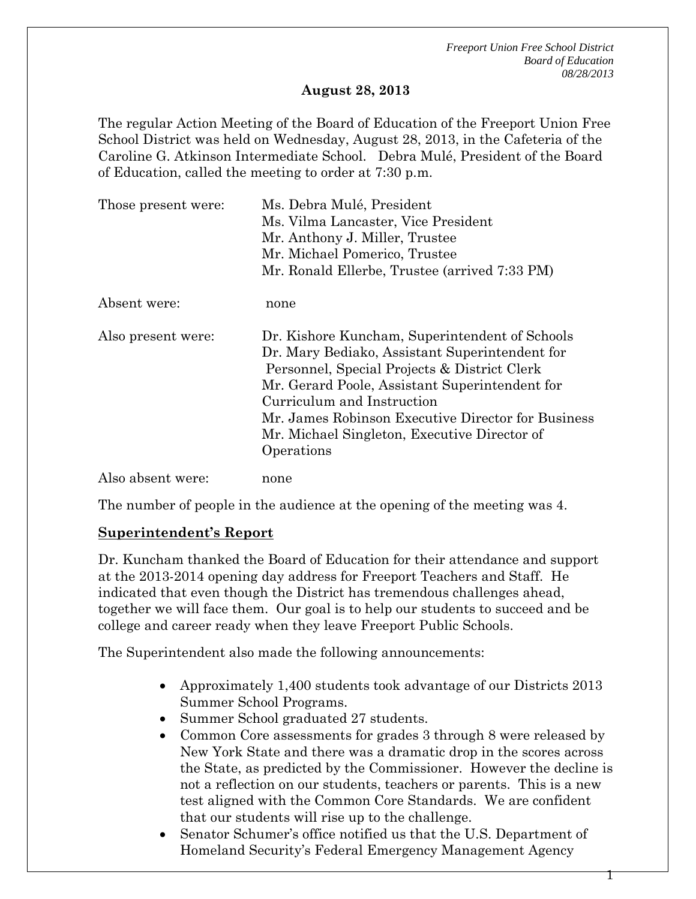*Freeport Union Free School District Board of Education 08/28/2013* 

#### **August 28, 2013**

The regular Action Meeting of the Board of Education of the Freeport Union Free School District was held on Wednesday, August 28, 2013, in the Cafeteria of the Caroline G. Atkinson Intermediate School. Debra Mulé, President of the Board of Education, called the meeting to order at 7:30 p.m.

| Those present were: | Ms. Debra Mulé, President<br>Ms. Vilma Lancaster, Vice President<br>Mr. Anthony J. Miller, Trustee<br>Mr. Michael Pomerico, Trustee<br>Mr. Ronald Ellerbe, Trustee (arrived 7:33 PM)                                                                                                                                                                 |
|---------------------|------------------------------------------------------------------------------------------------------------------------------------------------------------------------------------------------------------------------------------------------------------------------------------------------------------------------------------------------------|
| Absent were:        | none                                                                                                                                                                                                                                                                                                                                                 |
| Also present were:  | Dr. Kishore Kuncham, Superintendent of Schools<br>Dr. Mary Bediako, Assistant Superintendent for<br>Personnel, Special Projects & District Clerk<br>Mr. Gerard Poole, Assistant Superintendent for<br>Curriculum and Instruction<br>Mr. James Robinson Executive Director for Business<br>Mr. Michael Singleton, Executive Director of<br>Operations |
| Also absent were:   | none                                                                                                                                                                                                                                                                                                                                                 |

The number of people in the audience at the opening of the meeting was 4.

### **Superintendent's Report**

Dr. Kuncham thanked the Board of Education for their attendance and support at the 2013-2014 opening day address for Freeport Teachers and Staff. He indicated that even though the District has tremendous challenges ahead, together we will face them. Our goal is to help our students to succeed and be college and career ready when they leave Freeport Public Schools.

The Superintendent also made the following announcements:

- Approximately 1,400 students took advantage of our Districts 2013 Summer School Programs.
- Summer School graduated 27 students.
- Common Core assessments for grades 3 through 8 were released by New York State and there was a dramatic drop in the scores across the State, as predicted by the Commissioner. However the decline is not a reflection on our students, teachers or parents. This is a new test aligned with the Common Core Standards. We are confident that our students will rise up to the challenge.
- Senator Schumer's office notified us that the U.S. Department of Homeland Security's Federal Emergency Management Agency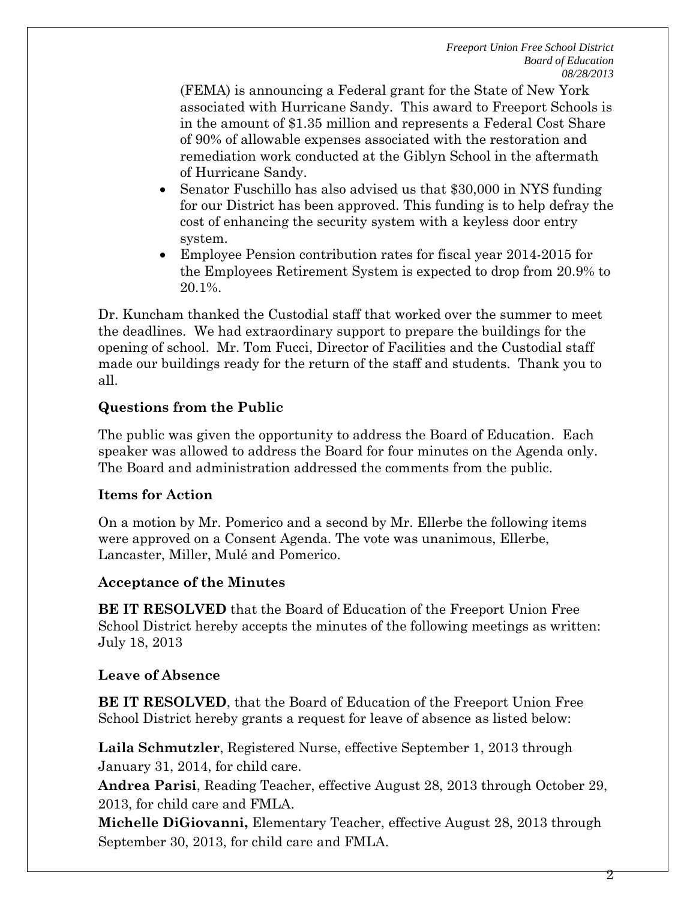(FEMA) is announcing a Federal grant for the State of New York associated with Hurricane Sandy. This award to Freeport Schools is in the amount of \$1.35 million and represents a Federal Cost Share of 90% of allowable expenses associated with the restoration and remediation work conducted at the Giblyn School in the aftermath of Hurricane Sandy.

- Senator Fuschillo has also advised us that \$30,000 in NYS funding for our District has been approved. This funding is to help defray the cost of enhancing the security system with a keyless door entry system.
- Employee Pension contribution rates for fiscal year 2014-2015 for the Employees Retirement System is expected to drop from 20.9% to 20.1%.

Dr. Kuncham thanked the Custodial staff that worked over the summer to meet the deadlines. We had extraordinary support to prepare the buildings for the opening of school. Mr. Tom Fucci, Director of Facilities and the Custodial staff made our buildings ready for the return of the staff and students. Thank you to all.

# **Questions from the Public**

The public was given the opportunity to address the Board of Education. Each speaker was allowed to address the Board for four minutes on the Agenda only. The Board and administration addressed the comments from the public.

# **Items for Action**

On a motion by Mr. Pomerico and a second by Mr. Ellerbe the following items were approved on a Consent Agenda. The vote was unanimous, Ellerbe, Lancaster, Miller, Mulé and Pomerico.

# **Acceptance of the Minutes**

**BE IT RESOLVED** that the Board of Education of the Freeport Union Free School District hereby accepts the minutes of the following meetings as written: July 18, 2013

# **Leave of Absence**

**BE IT RESOLVED**, that the Board of Education of the Freeport Union Free School District hereby grants a request for leave of absence as listed below:

**Laila Schmutzler**, Registered Nurse, effective September 1, 2013 through January 31, 2014, for child care.

**Andrea Parisi**, Reading Teacher, effective August 28, 2013 through October 29, 2013, for child care and FMLA.

**Michelle DiGiovanni,** Elementary Teacher, effective August 28, 2013 through September 30, 2013, for child care and FMLA.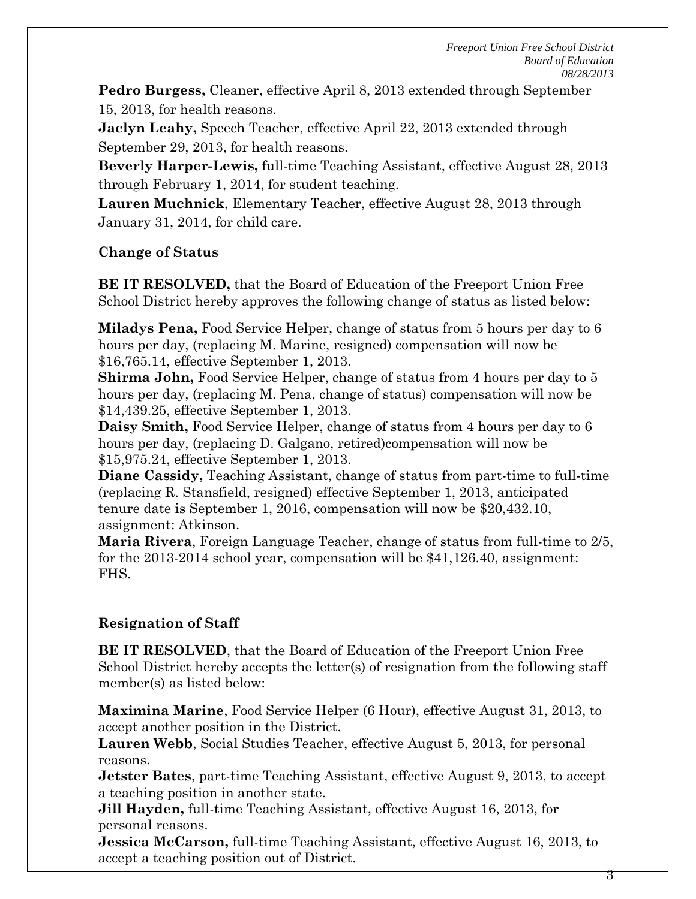*Freeport Union Free School District Board of Education 08/28/2013* 

**Pedro Burgess,** Cleaner, effective April 8, 2013 extended through September 15, 2013, for health reasons.

**Jaclyn Leahy,** Speech Teacher, effective April 22, 2013 extended through September 29, 2013, for health reasons.

**Beverly Harper-Lewis,** full-time Teaching Assistant, effective August 28, 2013 through February 1, 2014, for student teaching.

**Lauren Muchnick**, Elementary Teacher, effective August 28, 2013 through January 31, 2014, for child care.

### **Change of Status**

**BE IT RESOLVED,** that the Board of Education of the Freeport Union Free School District hereby approves the following change of status as listed below:

**Miladys Pena,** Food Service Helper, change of status from 5 hours per day to 6 hours per day, (replacing M. Marine, resigned) compensation will now be \$16,765.14, effective September 1, 2013.

**Shirma John,** Food Service Helper, change of status from 4 hours per day to 5 hours per day, (replacing M. Pena, change of status) compensation will now be \$14,439.25, effective September 1, 2013.

**Daisy Smith,** Food Service Helper, change of status from 4 hours per day to 6 hours per day, (replacing D. Galgano, retired)compensation will now be \$15,975.24, effective September 1, 2013.

**Diane Cassidy,** Teaching Assistant, change of status from part-time to full-time (replacing R. Stansfield, resigned) effective September 1, 2013, anticipated tenure date is September 1, 2016, compensation will now be \$20,432.10, assignment: Atkinson.

**Maria Rivera**, Foreign Language Teacher, change of status from full-time to 2/5, for the 2013-2014 school year, compensation will be \$41,126.40, assignment: FHS.

# **Resignation of Staff**

**BE IT RESOLVED**, that the Board of Education of the Freeport Union Free School District hereby accepts the letter(s) of resignation from the following staff member(s) as listed below:

**Maximina Marine**, Food Service Helper (6 Hour), effective August 31, 2013, to accept another position in the District.

**Lauren Webb**, Social Studies Teacher, effective August 5, 2013, for personal reasons.

**Jetster Bates**, part-time Teaching Assistant, effective August 9, 2013, to accept a teaching position in another state.

**Jill Hayden,** full-time Teaching Assistant, effective August 16, 2013, for personal reasons.

**Jessica McCarson,** full-time Teaching Assistant, effective August 16, 2013, to accept a teaching position out of District.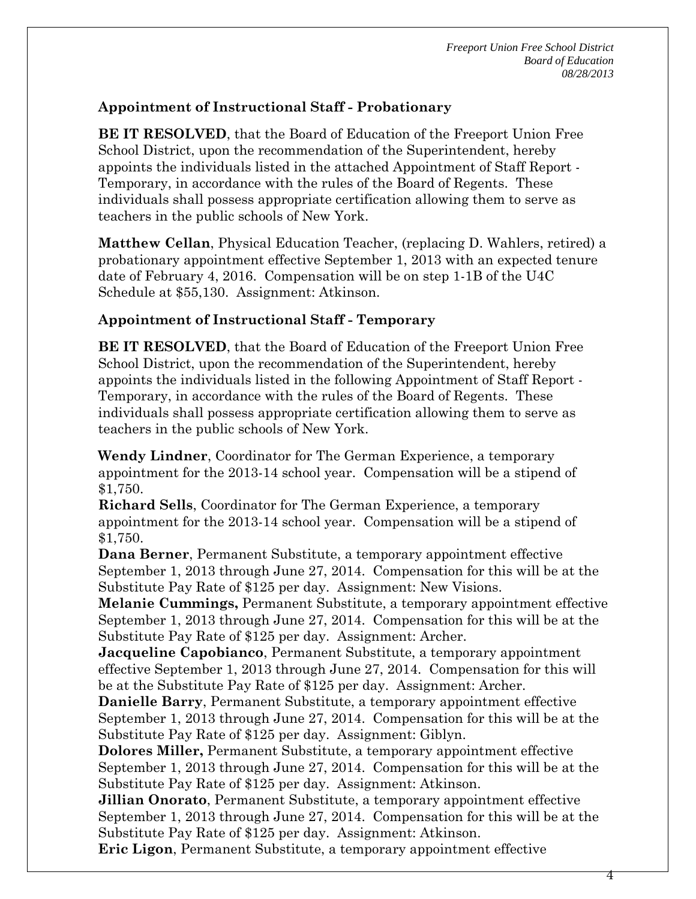# **Appointment of Instructional Staff - Probationary**

**BE IT RESOLVED**, that the Board of Education of the Freeport Union Free School District, upon the recommendation of the Superintendent, hereby appoints the individuals listed in the attached Appointment of Staff Report - Temporary, in accordance with the rules of the Board of Regents. These individuals shall possess appropriate certification allowing them to serve as teachers in the public schools of New York.

**Matthew Cellan**, Physical Education Teacher, (replacing D. Wahlers, retired) a probationary appointment effective September 1, 2013 with an expected tenure date of February 4, 2016. Compensation will be on step 1-1B of the U4C Schedule at \$55,130. Assignment: Atkinson.

### **Appointment of Instructional Staff - Temporary**

**BE IT RESOLVED**, that the Board of Education of the Freeport Union Free School District, upon the recommendation of the Superintendent, hereby appoints the individuals listed in the following Appointment of Staff Report - Temporary, in accordance with the rules of the Board of Regents. These individuals shall possess appropriate certification allowing them to serve as teachers in the public schools of New York.

**Wendy Lindner**, Coordinator for The German Experience, a temporary appointment for the 2013-14 school year. Compensation will be a stipend of \$1,750.

**Richard Sells**, Coordinator for The German Experience, a temporary appointment for the 2013-14 school year. Compensation will be a stipend of \$1,750.

**Dana Berner**, Permanent Substitute, a temporary appointment effective September 1, 2013 through June 27, 2014. Compensation for this will be at the Substitute Pay Rate of \$125 per day. Assignment: New Visions.

**Melanie Cummings,** Permanent Substitute, a temporary appointment effective September 1, 2013 through June 27, 2014. Compensation for this will be at the Substitute Pay Rate of \$125 per day. Assignment: Archer.

**Jacqueline Capobianco**, Permanent Substitute, a temporary appointment effective September 1, 2013 through June 27, 2014. Compensation for this will be at the Substitute Pay Rate of \$125 per day. Assignment: Archer.

**Danielle Barry**, Permanent Substitute, a temporary appointment effective September 1, 2013 through June 27, 2014. Compensation for this will be at the Substitute Pay Rate of \$125 per day. Assignment: Giblyn.

**Dolores Miller,** Permanent Substitute, a temporary appointment effective September 1, 2013 through June 27, 2014. Compensation for this will be at the Substitute Pay Rate of \$125 per day. Assignment: Atkinson.

**Jillian Onorato**, Permanent Substitute, a temporary appointment effective September 1, 2013 through June 27, 2014. Compensation for this will be at the Substitute Pay Rate of \$125 per day. Assignment: Atkinson.

**Eric Ligon**, Permanent Substitute, a temporary appointment effective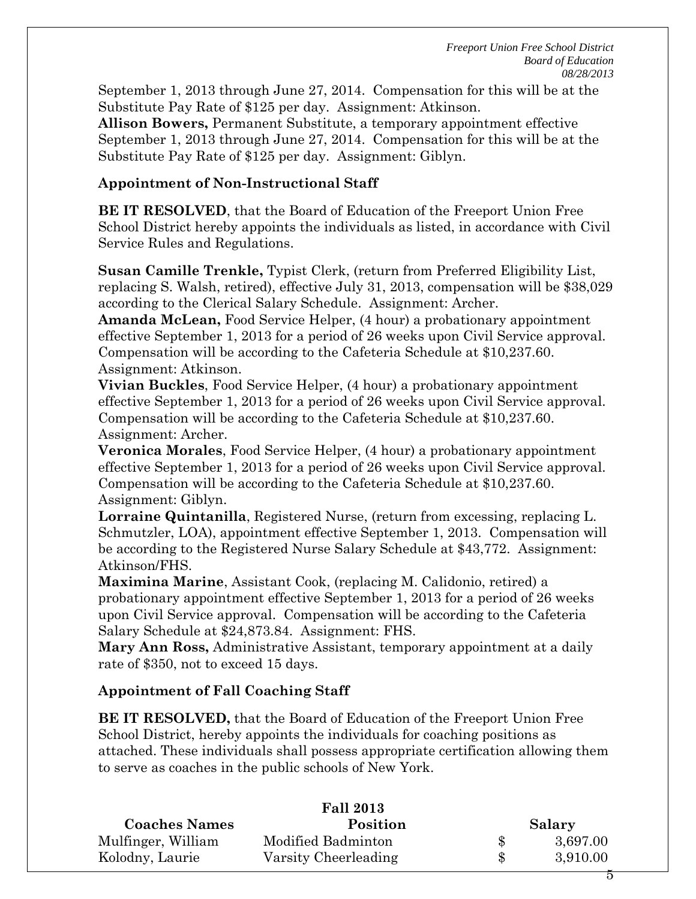*Freeport Union Free School District Board of Education 08/28/2013* 

September 1, 2013 through June 27, 2014. Compensation for this will be at the Substitute Pay Rate of \$125 per day. Assignment: Atkinson.

**Allison Bowers,** Permanent Substitute, a temporary appointment effective September 1, 2013 through June 27, 2014. Compensation for this will be at the Substitute Pay Rate of \$125 per day. Assignment: Giblyn.

### **Appointment of Non-Instructional Staff**

**BE IT RESOLVED**, that the Board of Education of the Freeport Union Free School District hereby appoints the individuals as listed, in accordance with Civil Service Rules and Regulations.

**Susan Camille Trenkle,** Typist Clerk, (return from Preferred Eligibility List, replacing S. Walsh, retired), effective July 31, 2013, compensation will be \$38,029 according to the Clerical Salary Schedule. Assignment: Archer.

**Amanda McLean,** Food Service Helper, (4 hour) a probationary appointment effective September 1, 2013 for a period of 26 weeks upon Civil Service approval. Compensation will be according to the Cafeteria Schedule at \$10,237.60. Assignment: Atkinson.

**Vivian Buckles**, Food Service Helper, (4 hour) a probationary appointment effective September 1, 2013 for a period of 26 weeks upon Civil Service approval. Compensation will be according to the Cafeteria Schedule at \$10,237.60. Assignment: Archer.

**Veronica Morales**, Food Service Helper, (4 hour) a probationary appointment effective September 1, 2013 for a period of 26 weeks upon Civil Service approval. Compensation will be according to the Cafeteria Schedule at \$10,237.60. Assignment: Giblyn.

**Lorraine Quintanilla**, Registered Nurse, (return from excessing, replacing L. Schmutzler, LOA), appointment effective September 1, 2013. Compensation will be according to the Registered Nurse Salary Schedule at \$43,772. Assignment: Atkinson/FHS.

**Maximina Marine**, Assistant Cook, (replacing M. Calidonio, retired) a probationary appointment effective September 1, 2013 for a period of 26 weeks upon Civil Service approval. Compensation will be according to the Cafeteria Salary Schedule at \$24,873.84. Assignment: FHS.

**Mary Ann Ross,** Administrative Assistant, temporary appointment at a daily rate of \$350, not to exceed 15 days.

# **Appointment of Fall Coaching Staff**

**BE IT RESOLVED,** that the Board of Education of the Freeport Union Free School District, hereby appoints the individuals for coaching positions as attached. These individuals shall possess appropriate certification allowing them to serve as coaches in the public schools of New York.

| <b>Fall 2013</b>     |                      |  |          |
|----------------------|----------------------|--|----------|
| <b>Coaches Names</b> | Position             |  | Salary   |
| Mulfinger, William   | Modified Badminton   |  | 3,697.00 |
| Kolodny, Laurie      | Varsity Cheerleading |  | 3,910.00 |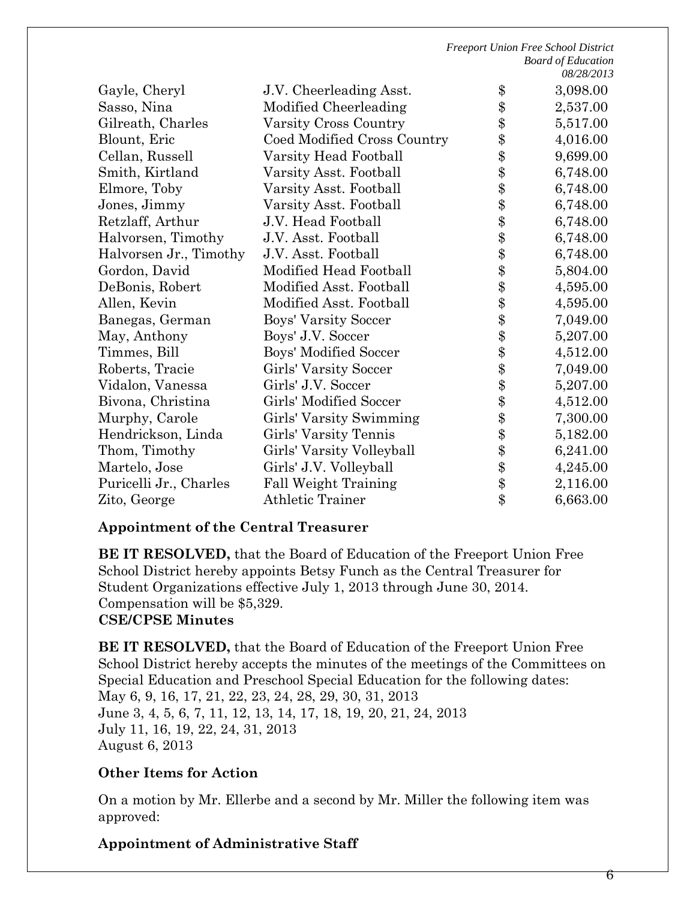|                        |                             | 00/20/201J     |
|------------------------|-----------------------------|----------------|
| Gayle, Cheryl          | J.V. Cheerleading Asst.     | \$<br>3,098.00 |
| Sasso, Nina            | Modified Cheerleading       | \$<br>2,537.00 |
| Gilreath, Charles      | Varsity Cross Country       | \$<br>5,517.00 |
| Blount, Eric           | Coed Modified Cross Country | \$<br>4,016.00 |
| Cellan, Russell        | Varsity Head Football       | \$<br>9,699.00 |
| Smith, Kirtland        | Varsity Asst. Football      | \$<br>6,748.00 |
| Elmore, Toby           | Varsity Asst. Football      | \$<br>6,748.00 |
| Jones, Jimmy           | Varsity Asst. Football      | \$<br>6,748.00 |
| Retzlaff, Arthur       | J.V. Head Football          | \$<br>6,748.00 |
| Halvorsen, Timothy     | J.V. Asst. Football         | \$<br>6,748.00 |
| Halvorsen Jr., Timothy | J.V. Asst. Football         | \$<br>6,748.00 |
| Gordon, David          | Modified Head Football      | \$<br>5,804.00 |
| DeBonis, Robert        | Modified Asst. Football     | \$<br>4,595.00 |
| Allen, Kevin           | Modified Asst. Football     | \$<br>4,595.00 |
| Banegas, German        | Boys' Varsity Soccer        | \$<br>7,049.00 |
| May, Anthony           | Boys' J.V. Soccer           | \$<br>5,207.00 |
| Timmes, Bill           | Boys' Modified Soccer       | \$<br>4,512.00 |
| Roberts, Tracie        | Girls' Varsity Soccer       | \$<br>7,049.00 |
| Vidalon, Vanessa       | Girls' J.V. Soccer          | \$<br>5,207.00 |
| Bivona, Christina      | Girls' Modified Soccer      | \$<br>4,512.00 |
| Murphy, Carole         | Girls' Varsity Swimming     | \$<br>7,300.00 |
| Hendrickson, Linda     | Girls' Varsity Tennis       | \$<br>5,182.00 |
| Thom, Timothy          | Girls' Varsity Volleyball   | \$<br>6,241.00 |
| Martelo, Jose          | Girls' J.V. Volleyball      | \$<br>4,245.00 |
| Puricelli Jr., Charles | <b>Fall Weight Training</b> | \$<br>2,116.00 |
| Zito, George           | Athletic Trainer            | \$<br>6,663.00 |
|                        |                             |                |

#### **Appointment of the Central Treasurer**

**BE IT RESOLVED,** that the Board of Education of the Freeport Union Free School District hereby appoints Betsy Funch as the Central Treasurer for Student Organizations effective July 1, 2013 through June 30, 2014. Compensation will be \$5,329.

### **CSE/CPSE Minutes**

**BE IT RESOLVED,** that the Board of Education of the Freeport Union Free School District hereby accepts the minutes of the meetings of the Committees on Special Education and Preschool Special Education for the following dates: May 6, 9, 16, 17, 21, 22, 23, 24, 28, 29, 30, 31, 2013 June 3, 4, 5, 6, 7, 11, 12, 13, 14, 17, 18, 19, 20, 21, 24, 2013 July 11, 16, 19, 22, 24, 31, 2013 August 6, 2013

### **Other Items for Action**

On a motion by Mr. Ellerbe and a second by Mr. Miller the following item was approved:

### **Appointment of Administrative Staff**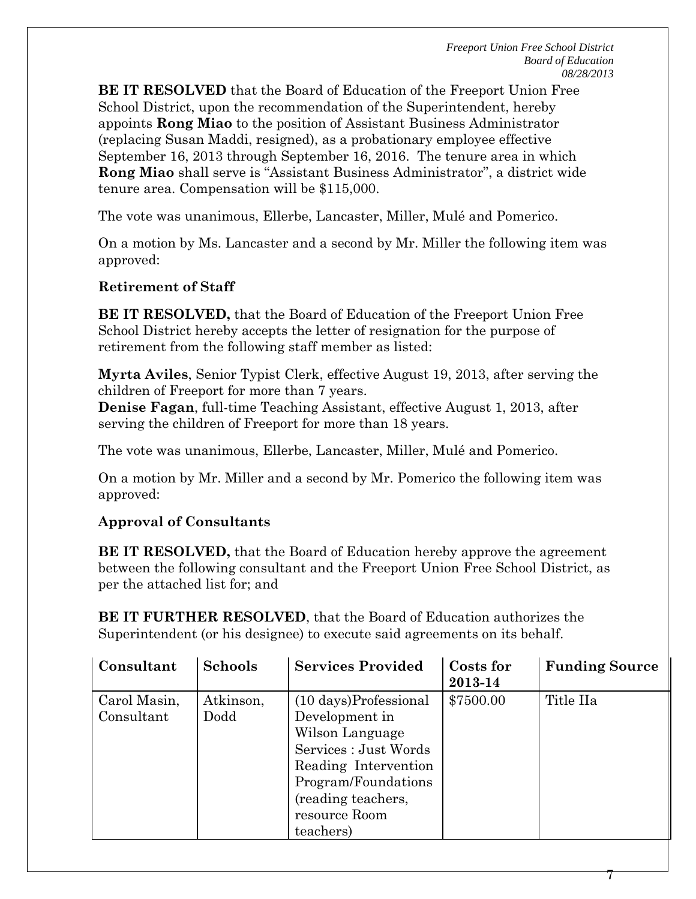**BE IT RESOLVED** that the Board of Education of the Freeport Union Free School District, upon the recommendation of the Superintendent, hereby appoints **Rong Miao** to the position of Assistant Business Administrator (replacing Susan Maddi, resigned), as a probationary employee effective September 16, 2013 through September 16, 2016. The tenure area in which **Rong Miao** shall serve is "Assistant Business Administrator", a district wide tenure area. Compensation will be \$115,000.

The vote was unanimous, Ellerbe, Lancaster, Miller, Mulé and Pomerico.

On a motion by Ms. Lancaster and a second by Mr. Miller the following item was approved:

### **Retirement of Staff**

**BE IT RESOLVED,** that the Board of Education of the Freeport Union Free School District hereby accepts the letter of resignation for the purpose of retirement from the following staff member as listed:

**Myrta Aviles**, Senior Typist Clerk, effective August 19, 2013, after serving the children of Freeport for more than 7 years.

**Denise Fagan**, full-time Teaching Assistant, effective August 1, 2013, after serving the children of Freeport for more than 18 years.

The vote was unanimous, Ellerbe, Lancaster, Miller, Mulé and Pomerico.

On a motion by Mr. Miller and a second by Mr. Pomerico the following item was approved:

# **Approval of Consultants**

**BE IT RESOLVED,** that the Board of Education hereby approve the agreement between the following consultant and the Freeport Union Free School District, as per the attached list for; and

**BE IT FURTHER RESOLVED**, that the Board of Education authorizes the Superintendent (or his designee) to execute said agreements on its behalf.

| Consultant   | <b>Schools</b> | <b>Services Provided</b>         | Costs for | <b>Funding Source</b> |
|--------------|----------------|----------------------------------|-----------|-----------------------|
|              |                |                                  | 2013-14   |                       |
| Carol Masin, | Atkinson,      | $(10 \text{ days})$ Professional | \$7500.00 | Title IIa             |
| Consultant   | Dodd           | Development in                   |           |                       |
|              |                | Wilson Language                  |           |                       |
|              |                | Services : Just Words            |           |                       |
|              |                | Reading Intervention             |           |                       |
|              |                | Program/Foundations              |           |                       |
|              |                | (reading teachers,               |           |                       |
|              |                | resource Room                    |           |                       |
|              |                | teachers)                        |           |                       |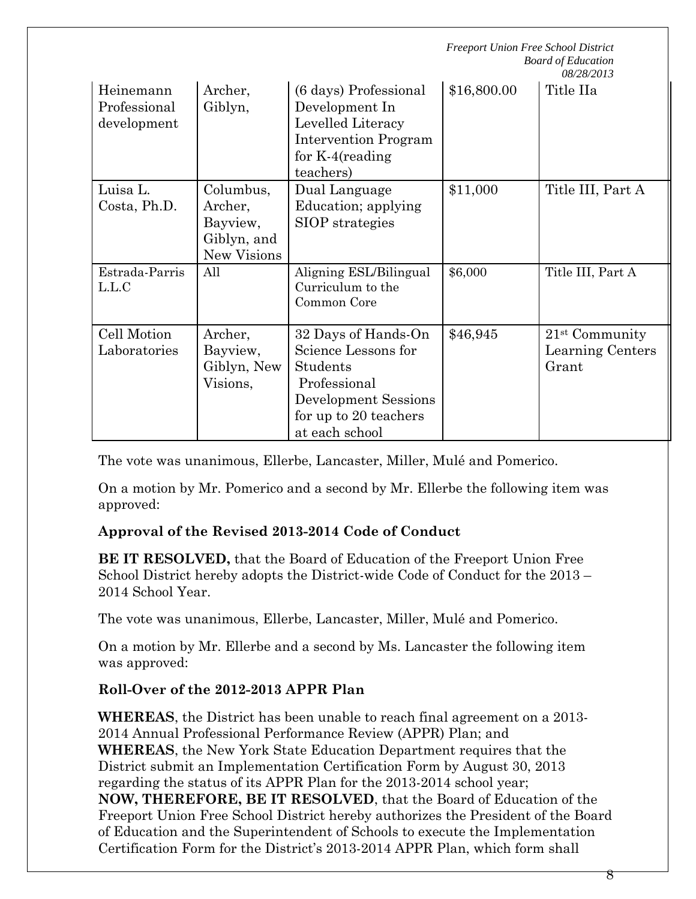|                                          |                                                                       |                                                                                                                                           | <b>Freeport Union Free School District</b><br><b>Board of Education</b><br>08/28/2013 |                                               |
|------------------------------------------|-----------------------------------------------------------------------|-------------------------------------------------------------------------------------------------------------------------------------------|---------------------------------------------------------------------------------------|-----------------------------------------------|
| Heinemann<br>Professional<br>development | Archer,<br>Giblyn,                                                    | (6 days) Professional<br>Development In<br>Levelled Literacy<br>Intervention Program<br>for $K-4$ (reading<br>teachers)                   | \$16,800.00                                                                           | Title IIa                                     |
| Luisa L.<br>Costa, Ph.D.                 | Columbus,<br>Archer,<br>Bayview,<br>Giblyn, and<br><b>New Visions</b> | Dual Language<br>Education; applying<br>SIOP strategies                                                                                   | \$11,000                                                                              | Title III, Part A                             |
| Estrada-Parris<br>L.L.C                  | All                                                                   | Aligning ESL/Bilingual<br>Curriculum to the<br>Common Core                                                                                | \$6,000                                                                               | Title III, Part A                             |
| Cell Motion<br>Laboratories              | Archer,<br>Bayview,<br>Giblyn, New<br>Visions,                        | 32 Days of Hands-On<br>Science Lessons for<br>Students<br>Professional<br>Development Sessions<br>for up to 20 teachers<br>at each school | \$46,945                                                                              | $21st$ Community<br>Learning Centers<br>Grant |

The vote was unanimous, Ellerbe, Lancaster, Miller, Mulé and Pomerico.

On a motion by Mr. Pomerico and a second by Mr. Ellerbe the following item was approved:

# **Approval of the Revised 2013-2014 Code of Conduct**

**BE IT RESOLVED,** that the Board of Education of the Freeport Union Free School District hereby adopts the District-wide Code of Conduct for the 2013 – 2014 School Year.

The vote was unanimous, Ellerbe, Lancaster, Miller, Mulé and Pomerico.

On a motion by Mr. Ellerbe and a second by Ms. Lancaster the following item was approved:

# **Roll-Over of the 2012-2013 APPR Plan**

**WHEREAS**, the District has been unable to reach final agreement on a 2013- 2014 Annual Professional Performance Review (APPR) Plan; and **WHEREAS**, the New York State Education Department requires that the District submit an Implementation Certification Form by August 30, 2013 regarding the status of its APPR Plan for the 2013-2014 school year; **NOW, THEREFORE, BE IT RESOLVED**, that the Board of Education of the Freeport Union Free School District hereby authorizes the President of the Board of Education and the Superintendent of Schools to execute the Implementation Certification Form for the District's 2013-2014 APPR Plan, which form shall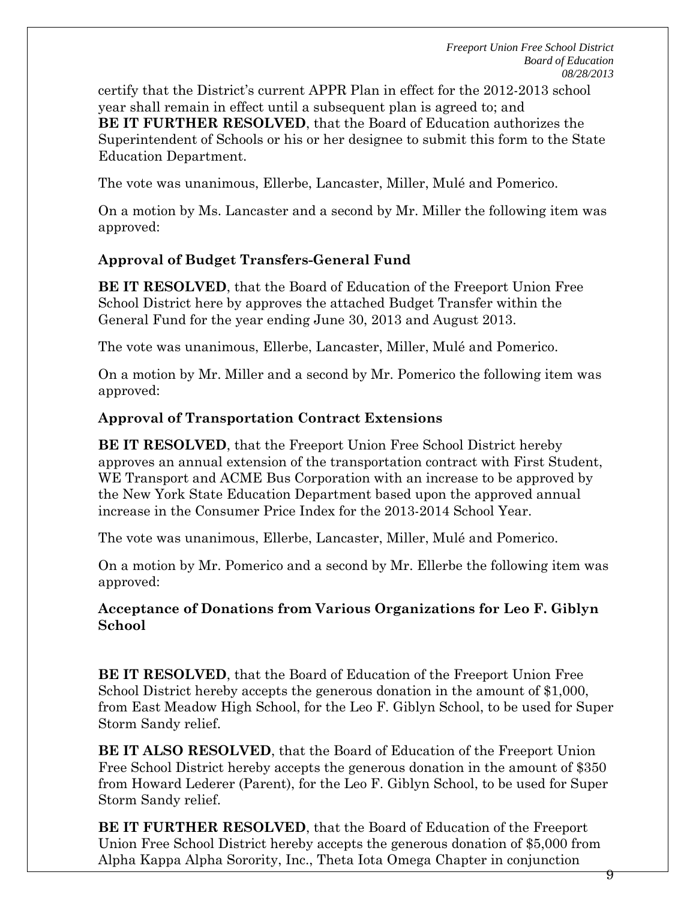certify that the District's current APPR Plan in effect for the 2012-2013 school year shall remain in effect until a subsequent plan is agreed to; and **BE IT FURTHER RESOLVED**, that the Board of Education authorizes the Superintendent of Schools or his or her designee to submit this form to the State Education Department.

The vote was unanimous, Ellerbe, Lancaster, Miller, Mulé and Pomerico.

On a motion by Ms. Lancaster and a second by Mr. Miller the following item was approved:

# **Approval of Budget Transfers-General Fund**

**BE IT RESOLVED**, that the Board of Education of the Freeport Union Free School District here by approves the attached Budget Transfer within the General Fund for the year ending June 30, 2013 and August 2013.

The vote was unanimous, Ellerbe, Lancaster, Miller, Mulé and Pomerico.

On a motion by Mr. Miller and a second by Mr. Pomerico the following item was approved:

### **Approval of Transportation Contract Extensions**

**BE IT RESOLVED**, that the Freeport Union Free School District hereby approves an annual extension of the transportation contract with First Student, WE Transport and ACME Bus Corporation with an increase to be approved by the New York State Education Department based upon the approved annual increase in the Consumer Price Index for the 2013-2014 School Year.

The vote was unanimous, Ellerbe, Lancaster, Miller, Mulé and Pomerico.

On a motion by Mr. Pomerico and a second by Mr. Ellerbe the following item was approved:

### **Acceptance of Donations from Various Organizations for Leo F. Giblyn School**

**BE IT RESOLVED**, that the Board of Education of the Freeport Union Free School District hereby accepts the generous donation in the amount of \$1,000, from East Meadow High School, for the Leo F. Giblyn School, to be used for Super Storm Sandy relief.

**BE IT ALSO RESOLVED**, that the Board of Education of the Freeport Union Free School District hereby accepts the generous donation in the amount of \$350 from Howard Lederer (Parent), for the Leo F. Giblyn School, to be used for Super Storm Sandy relief.

**BE IT FURTHER RESOLVED**, that the Board of Education of the Freeport Union Free School District hereby accepts the generous donation of \$5,000 from Alpha Kappa Alpha Sorority, Inc., Theta Iota Omega Chapter in conjunction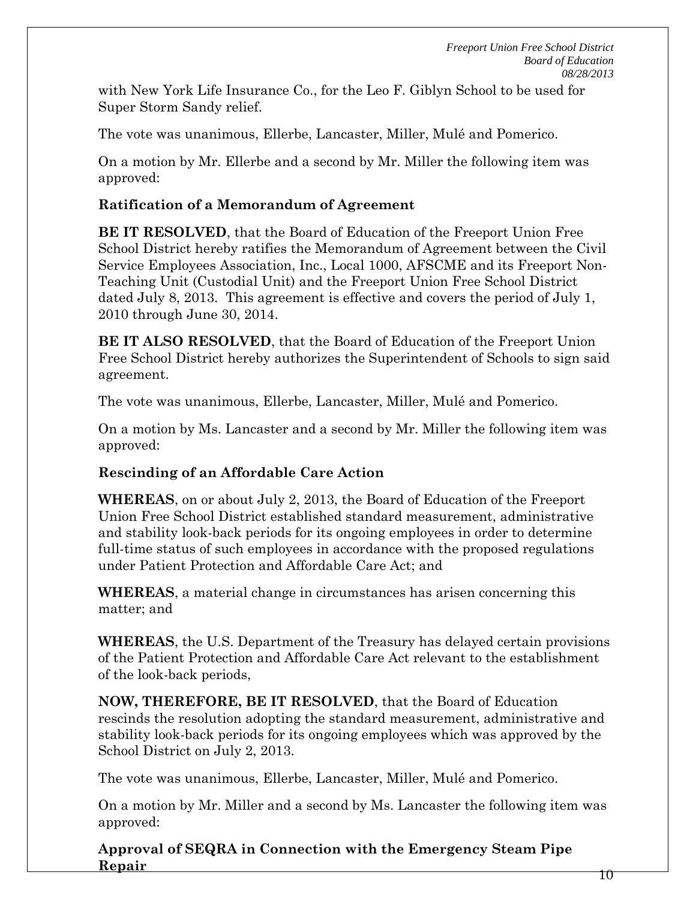with New York Life Insurance Co., for the Leo F. Giblyn School to be used for Super Storm Sandy relief.

The vote was unanimous, Ellerbe, Lancaster, Miller, Mulé and Pomerico.

On a motion by Mr. Ellerbe and a second by Mr. Miller the following item was approved:

# **Ratification of a Memorandum of Agreement**

**BE IT RESOLVED**, that the Board of Education of the Freeport Union Free School District hereby ratifies the Memorandum of Agreement between the Civil Service Employees Association, Inc., Local 1000, AFSCME and its Freeport Non-Teaching Unit (Custodial Unit) and the Freeport Union Free School District dated July 8, 2013. This agreement is effective and covers the period of July 1, 2010 through June 30, 2014.

**BE IT ALSO RESOLVED**, that the Board of Education of the Freeport Union Free School District hereby authorizes the Superintendent of Schools to sign said agreement.

The vote was unanimous, Ellerbe, Lancaster, Miller, Mulé and Pomerico.

On a motion by Ms. Lancaster and a second by Mr. Miller the following item was approved:

# **Rescinding of an Affordable Care Action**

**WHEREAS**, on or about July 2, 2013, the Board of Education of the Freeport Union Free School District established standard measurement, administrative and stability look-back periods for its ongoing employees in order to determine full-time status of such employees in accordance with the proposed regulations under Patient Protection and Affordable Care Act; and

**WHEREAS**, a material change in circumstances has arisen concerning this matter; and

**WHEREAS**, the U.S. Department of the Treasury has delayed certain provisions of the Patient Protection and Affordable Care Act relevant to the establishment of the look-back periods,

**NOW, THEREFORE, BE IT RESOLVED**, that the Board of Education rescinds the resolution adopting the standard measurement, administrative and stability look-back periods for its ongoing employees which was approved by the School District on July 2, 2013.

The vote was unanimous, Ellerbe, Lancaster, Miller, Mulé and Pomerico.

On a motion by Mr. Miller and a second by Ms. Lancaster the following item was approved:

**Approval of SEQRA in Connection with the Emergency Steam Pipe Repair**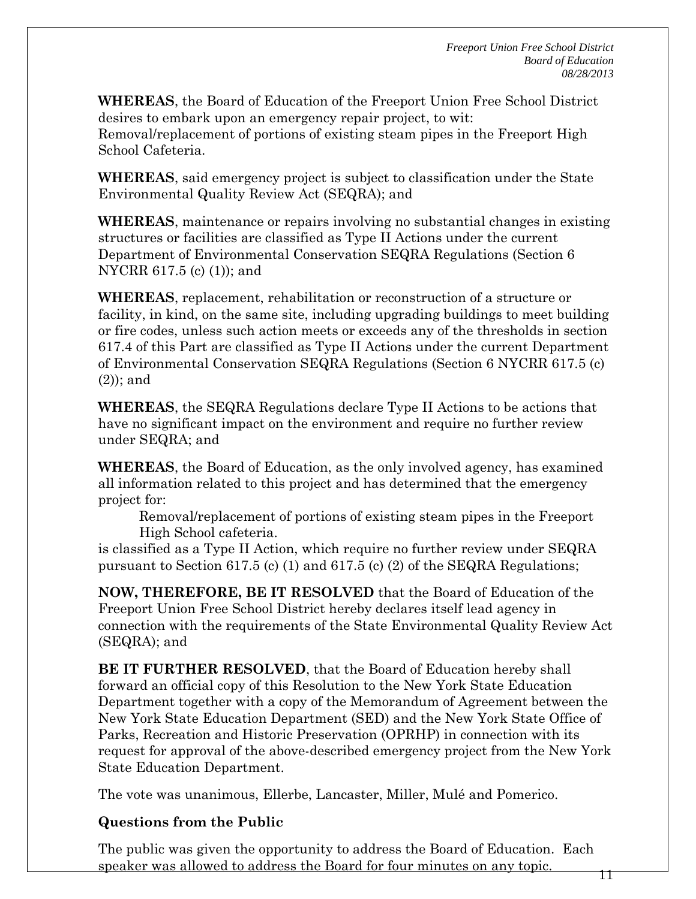**WHEREAS**, the Board of Education of the Freeport Union Free School District desires to embark upon an emergency repair project, to wit: Removal/replacement of portions of existing steam pipes in the Freeport High School Cafeteria.

**WHEREAS**, said emergency project is subject to classification under the State Environmental Quality Review Act (SEQRA); and

**WHEREAS**, maintenance or repairs involving no substantial changes in existing structures or facilities are classified as Type II Actions under the current Department of Environmental Conservation SEQRA Regulations (Section 6 NYCRR 617.5 (c) (1)); and

**WHEREAS**, replacement, rehabilitation or reconstruction of a structure or facility, in kind, on the same site, including upgrading buildings to meet building or fire codes, unless such action meets or exceeds any of the thresholds in section 617.4 of this Part are classified as Type II Actions under the current Department of Environmental Conservation SEQRA Regulations (Section 6 NYCRR 617.5 (c) (2)); and

**WHEREAS**, the SEQRA Regulations declare Type II Actions to be actions that have no significant impact on the environment and require no further review under SEQRA; and

**WHEREAS**, the Board of Education, as the only involved agency, has examined all information related to this project and has determined that the emergency project for:

Removal/replacement of portions of existing steam pipes in the Freeport High School cafeteria.

is classified as a Type II Action, which require no further review under SEQRA pursuant to Section 617.5 (c) (1) and 617.5 (c) (2) of the SEQRA Regulations;

**NOW, THEREFORE, BE IT RESOLVED** that the Board of Education of the Freeport Union Free School District hereby declares itself lead agency in connection with the requirements of the State Environmental Quality Review Act (SEQRA); and

**BE IT FURTHER RESOLVED**, that the Board of Education hereby shall forward an official copy of this Resolution to the New York State Education Department together with a copy of the Memorandum of Agreement between the New York State Education Department (SED) and the New York State Office of Parks, Recreation and Historic Preservation (OPRHP) in connection with its request for approval of the above-described emergency project from the New York State Education Department.

The vote was unanimous, Ellerbe, Lancaster, Miller, Mulé and Pomerico.

# **Questions from the Public**

The public was given the opportunity to address the Board of Education. Each speaker was allowed to address the Board for four minutes on any topic.